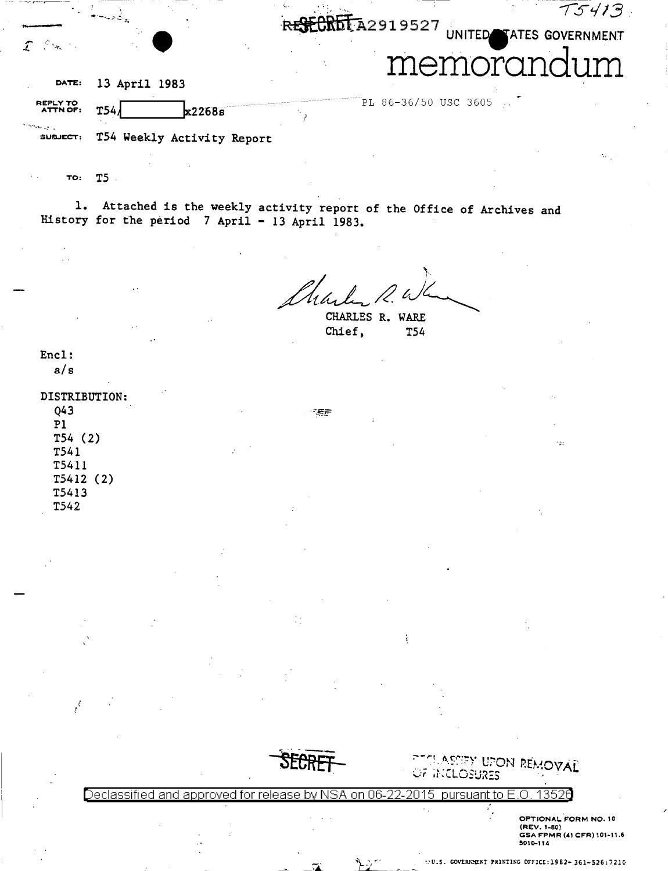|                                       |                                   | T5413                                |
|---------------------------------------|-----------------------------------|--------------------------------------|
|                                       |                                   | CRETA2919527 UNITED TATES GOVERNMENT |
|                                       |                                   | inran<br>11111                       |
| DATE:                                 | 13 April 1983                     |                                      |
| REPLY TO<br><b>ATTN OF:</b>           | $\frac{k22685}{k}$<br><b>T54.</b> | PL 86-36/50 USC 3605                 |
| $\sim 100$ and $\sim 100$<br>SUBJECT: | T54 Weekly Activity Report        |                                      |

TO:  $T5$ .

1. Attached is the weekly activity report of the Office of Archives and History for the period  $7$  April - 13 April 1983.

《笑声

CHARLES R. WARE Chief, **T54** 

ì

Encl:

 $a/s$ 

DISTRIBUTION:  $Q43$  $P1$  $T54(2)$ T541 T5411  $T5412(2)$ T5413 T542

 $\frac{1}{l}$ 



PECLASSEY UPON REMOVAL OF INCLOSURES

 $\overline{a}$ 

Declassified and approved for release by 101 pursuant to B on 06

> OPTIONAL FORM NO. 10 (REV. 1-80)<br>
> GSA FPMR (41 CFR) 101-11.6<br>
> 5010-114

чý